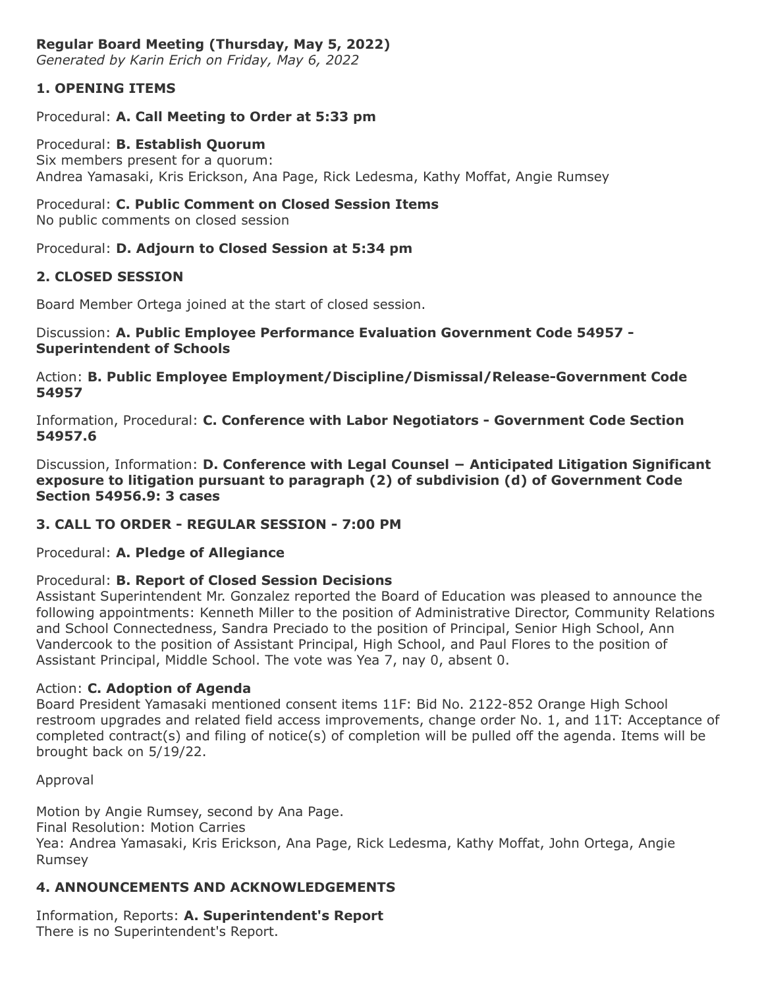## **Regular Board Meeting (Thursday, May 5, 2022)**

*Generated by Karin Erich on Friday, May 6, 2022*

## **1. OPENING ITEMS**

#### Procedural: **A. Call Meeting to Order at 5:33 pm**

Procedural: **B. Establish Quorum** Six members present for a quorum: Andrea Yamasaki, Kris Erickson, Ana Page, Rick Ledesma, Kathy Moffat, Angie Rumsey

## Procedural: **C. Public Comment on Closed Session Items**

No public comments on closed session

#### Procedural: **D. Adjourn to Closed Session at 5:34 pm**

## **2. CLOSED SESSION**

Board Member Ortega joined at the start of closed session.

#### Discussion: **A. Public Employee Performance Evaluation Government Code 54957 - Superintendent of Schools**

Action: **B. Public Employee Employment/Discipline/Dismissal/Release-Government Code 54957**

Information, Procedural: **C. Conference with Labor Negotiators - Government Code Section 54957.6**

Discussion, Information: **D. Conference with Legal Counsel − Anticipated Litigation Significant exposure to litigation pursuant to paragraph (2) of subdivision (d) of Government Code Section 54956.9: 3 cases**

## **3. CALL TO ORDER - REGULAR SESSION - 7:00 PM**

#### Procedural: **A. Pledge of Allegiance**

#### Procedural: **B. Report of Closed Session Decisions**

Assistant Superintendent Mr. Gonzalez reported the Board of Education was pleased to announce the following appointments: Kenneth Miller to the position of Administrative Director, Community Relations and School Connectedness, Sandra Preciado to the position of Principal, Senior High School, Ann Vandercook to the position of Assistant Principal, High School, and Paul Flores to the position of Assistant Principal, Middle School. The vote was Yea 7, nay 0, absent 0.

#### Action: **C. Adoption of Agenda**

Board President Yamasaki mentioned consent items 11F: Bid No. 2122-852 Orange High School restroom upgrades and related field access improvements, change order No. 1, and 11T: Acceptance of completed contract(s) and filing of notice(s) of completion will be pulled off the agenda. Items will be brought back on 5/19/22.

Approval

Motion by Angie Rumsey, second by Ana Page.

Final Resolution: Motion Carries

Yea: Andrea Yamasaki, Kris Erickson, Ana Page, Rick Ledesma, Kathy Moffat, John Ortega, Angie Rumsey

## **4. ANNOUNCEMENTS AND ACKNOWLEDGEMENTS**

Information, Reports: **A. Superintendent's Report** There is no Superintendent's Report.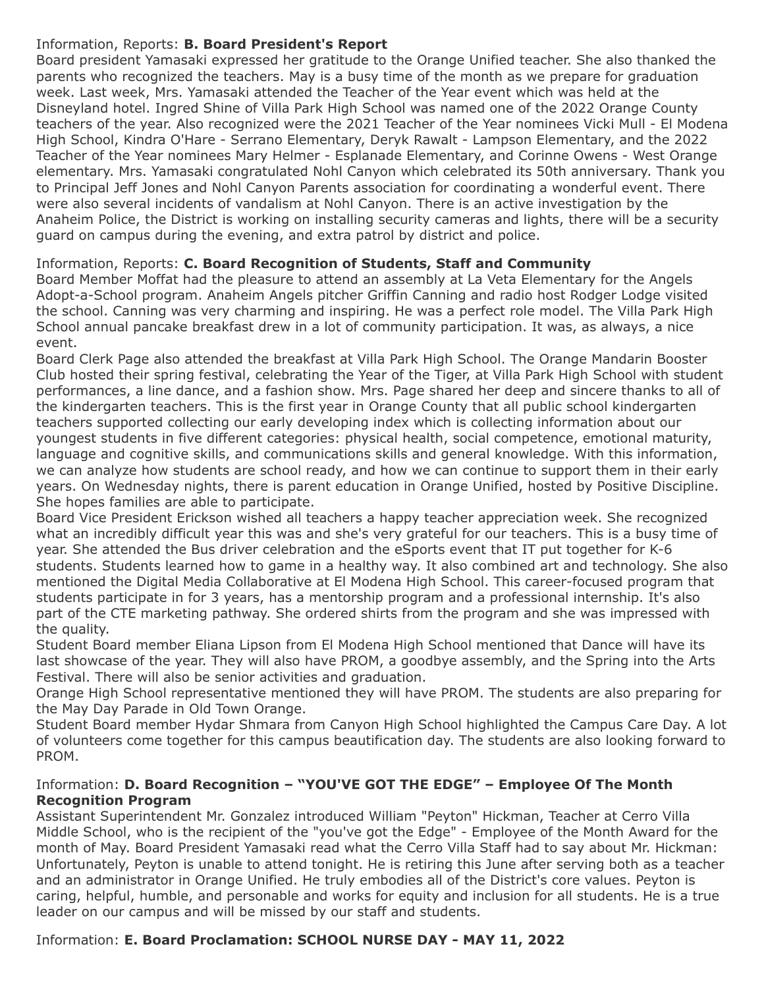## Information, Reports: **B. Board President's Report**

Board president Yamasaki expressed her gratitude to the Orange Unified teacher. She also thanked the parents who recognized the teachers. May is a busy time of the month as we prepare for graduation week. Last week, Mrs. Yamasaki attended the Teacher of the Year event which was held at the Disneyland hotel. Ingred Shine of Villa Park High School was named one of the 2022 Orange County teachers of the year. Also recognized were the 2021 Teacher of the Year nominees Vicki Mull - El Modena High School, Kindra O'Hare - Serrano Elementary, Deryk Rawalt - Lampson Elementary, and the 2022 Teacher of the Year nominees Mary Helmer - Esplanade Elementary, and Corinne Owens - West Orange elementary. Mrs. Yamasaki congratulated Nohl Canyon which celebrated its 50th anniversary. Thank you to Principal Jeff Jones and Nohl Canyon Parents association for coordinating a wonderful event. There were also several incidents of vandalism at Nohl Canyon. There is an active investigation by the Anaheim Police, the District is working on installing security cameras and lights, there will be a security guard on campus during the evening, and extra patrol by district and police.

## Information, Reports: **C. Board Recognition of Students, Staff and Community**

Board Member Moffat had the pleasure to attend an assembly at La Veta Elementary for the Angels Adopt-a-School program. Anaheim Angels pitcher Griffin Canning and radio host Rodger Lodge visited the school. Canning was very charming and inspiring. He was a perfect role model. The Villa Park High School annual pancake breakfast drew in a lot of community participation. It was, as always, a nice event.

Board Clerk Page also attended the breakfast at Villa Park High School. The Orange Mandarin Booster Club hosted their spring festival, celebrating the Year of the Tiger, at Villa Park High School with student performances, a line dance, and a fashion show. Mrs. Page shared her deep and sincere thanks to all of the kindergarten teachers. This is the first year in Orange County that all public school kindergarten teachers supported collecting our early developing index which is collecting information about our youngest students in five different categories: physical health, social competence, emotional maturity, language and cognitive skills, and communications skills and general knowledge. With this information, we can analyze how students are school ready, and how we can continue to support them in their early years. On Wednesday nights, there is parent education in Orange Unified, hosted by Positive Discipline. She hopes families are able to participate.

Board Vice President Erickson wished all teachers a happy teacher appreciation week. She recognized what an incredibly difficult year this was and she's very grateful for our teachers. This is a busy time of year. She attended the Bus driver celebration and the eSports event that IT put together for K-6 students. Students learned how to game in a healthy way. It also combined art and technology. She also mentioned the Digital Media Collaborative at El Modena High School. This career-focused program that students participate in for 3 years, has a mentorship program and a professional internship. It's also part of the CTE marketing pathway. She ordered shirts from the program and she was impressed with the quality.

Student Board member Eliana Lipson from El Modena High School mentioned that Dance will have its last showcase of the year. They will also have PROM, a goodbye assembly, and the Spring into the Arts Festival. There will also be senior activities and graduation.

Orange High School representative mentioned they will have PROM. The students are also preparing for the May Day Parade in Old Town Orange.

Student Board member Hydar Shmara from Canyon High School highlighted the Campus Care Day. A lot of volunteers come together for this campus beautification day. The students are also looking forward to PROM.

## Information: **D. Board Recognition – "YOU'VE GOT THE EDGE" – Employee Of The Month Recognition Program**

Assistant Superintendent Mr. Gonzalez introduced William "Peyton" Hickman, Teacher at Cerro Villa Middle School, who is the recipient of the "you've got the Edge" - Employee of the Month Award for the month of May. Board President Yamasaki read what the Cerro Villa Staff had to say about Mr. Hickman: Unfortunately, Peyton is unable to attend tonight. He is retiring this June after serving both as a teacher and an administrator in Orange Unified. He truly embodies all of the District's core values. Peyton is caring, helpful, humble, and personable and works for equity and inclusion for all students. He is a true leader on our campus and will be missed by our staff and students.

# Information: **E. Board Proclamation: SCHOOL NURSE DAY - MAY 11, 2022**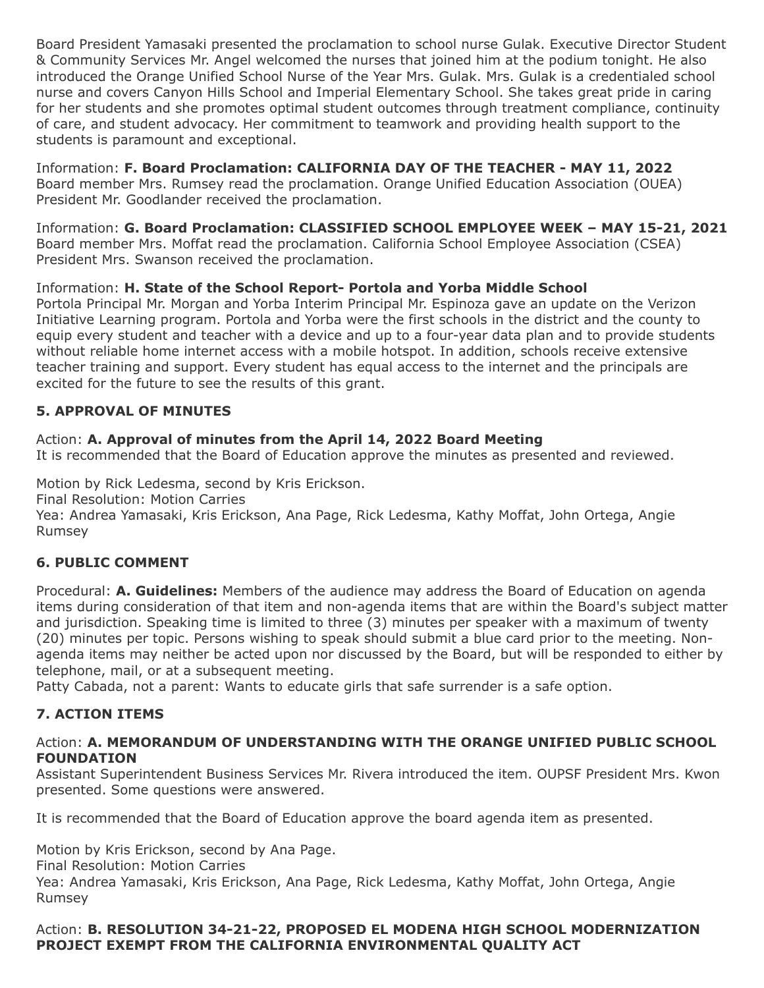Board President Yamasaki presented the proclamation to school nurse Gulak. Executive Director Student & Community Services Mr. Angel welcomed the nurses that joined him at the podium tonight. He also introduced the Orange Unified School Nurse of the Year Mrs. Gulak. Mrs. Gulak is a credentialed school nurse and covers Canyon Hills School and Imperial Elementary School. She takes great pride in caring for her students and she promotes optimal student outcomes through treatment compliance, continuity of care, and student advocacy. Her commitment to teamwork and providing health support to the students is paramount and exceptional.

Information: **F. Board Proclamation: CALIFORNIA DAY OF THE TEACHER - MAY 11, 2022** Board member Mrs. Rumsey read the proclamation. Orange Unified Education Association (OUEA) President Mr. Goodlander received the proclamation.

Information: **G. Board Proclamation: CLASSIFIED SCHOOL EMPLOYEE WEEK – MAY 15-21, 2021** Board member Mrs. Moffat read the proclamation. California School Employee Association (CSEA) President Mrs. Swanson received the proclamation.

# Information: **H. State of the School Report- Portola and Yorba Middle School**

Portola Principal Mr. Morgan and Yorba Interim Principal Mr. Espinoza gave an update on the Verizon Initiative Learning program. Portola and Yorba were the first schools in the district and the county to equip every student and teacher with a device and up to a four-year data plan and to provide students without reliable home internet access with a mobile hotspot. In addition, schools receive extensive teacher training and support. Every student has equal access to the internet and the principals are excited for the future to see the results of this grant.

# **5. APPROVAL OF MINUTES**

## Action: **A. Approval of minutes from the April 14, 2022 Board Meeting**

It is recommended that the Board of Education approve the minutes as presented and reviewed.

Motion by Rick Ledesma, second by Kris Erickson.

Final Resolution: Motion Carries

Yea: Andrea Yamasaki, Kris Erickson, Ana Page, Rick Ledesma, Kathy Moffat, John Ortega, Angie Rumsey

## **6. PUBLIC COMMENT**

Procedural: **A. Guidelines:** Members of the audience may address the Board of Education on agenda items during consideration of that item and non-agenda items that are within the Board's subject matter and jurisdiction. Speaking time is limited to three (3) minutes per speaker with a maximum of twenty (20) minutes per topic. Persons wishing to speak should submit a blue card prior to the meeting. Nonagenda items may neither be acted upon nor discussed by the Board, but will be responded to either by telephone, mail, or at a subsequent meeting.

Patty Cabada, not a parent: Wants to educate girls that safe surrender is a safe option.

## **7. ACTION ITEMS**

#### Action: **A. MEMORANDUM OF UNDERSTANDING WITH THE ORANGE UNIFIED PUBLIC SCHOOL FOUNDATION**

Assistant Superintendent Business Services Mr. Rivera introduced the item. OUPSF President Mrs. Kwon presented. Some questions were answered.

It is recommended that the Board of Education approve the board agenda item as presented.

Motion by Kris Erickson, second by Ana Page.

Final Resolution: Motion Carries

Yea: Andrea Yamasaki, Kris Erickson, Ana Page, Rick Ledesma, Kathy Moffat, John Ortega, Angie Rumsey

## Action: **B. RESOLUTION 34-21-22, PROPOSED EL MODENA HIGH SCHOOL MODERNIZATION PROJECT EXEMPT FROM THE CALIFORNIA ENVIRONMENTAL QUALITY ACT**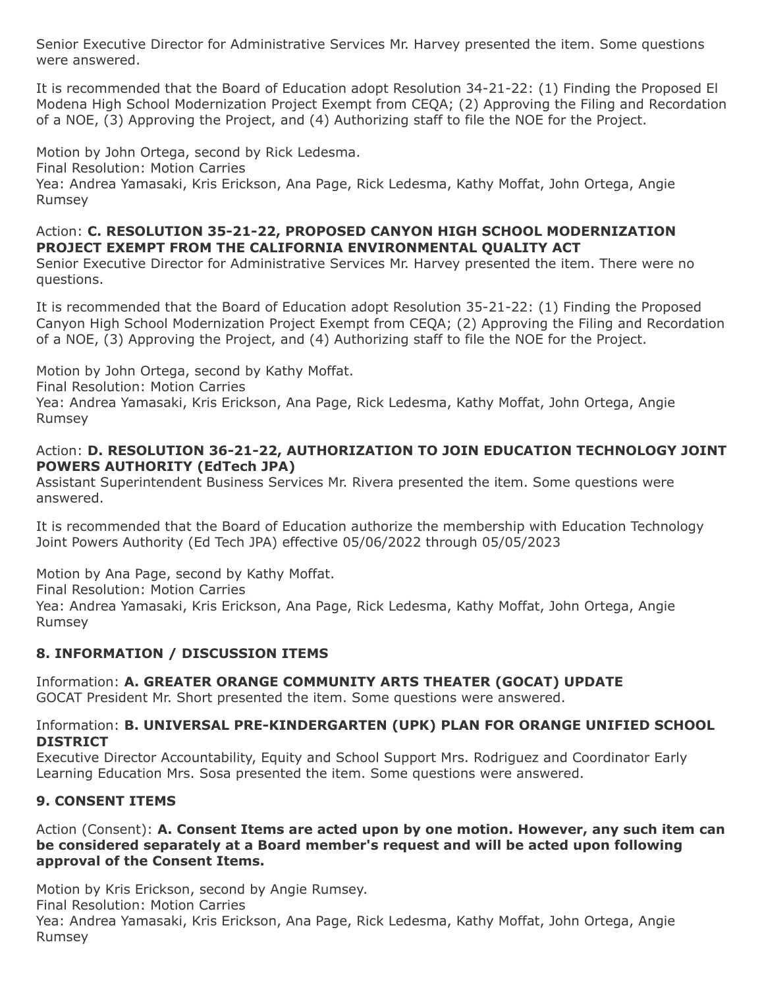Senior Executive Director for Administrative Services Mr. Harvey presented the item. Some questions were answered.

It is recommended that the Board of Education adopt Resolution 34-21-22: (1) Finding the Proposed El Modena High School Modernization Project Exempt from CEQA; (2) Approving the Filing and Recordation of a NOE, (3) Approving the Project, and (4) Authorizing staff to file the NOE for the Project.

Motion by John Ortega, second by Rick Ledesma.

Final Resolution: Motion Carries

Yea: Andrea Yamasaki, Kris Erickson, Ana Page, Rick Ledesma, Kathy Moffat, John Ortega, Angie Rumsey

#### Action: **C. RESOLUTION 35-21-22, PROPOSED CANYON HIGH SCHOOL MODERNIZATION PROJECT EXEMPT FROM THE CALIFORNIA ENVIRONMENTAL QUALITY ACT**

Senior Executive Director for Administrative Services Mr. Harvey presented the item. There were no questions.

It is recommended that the Board of Education adopt Resolution 35-21-22: (1) Finding the Proposed Canyon High School Modernization Project Exempt from CEQA; (2) Approving the Filing and Recordation of a NOE, (3) Approving the Project, and (4) Authorizing staff to file the NOE for the Project.

Motion by John Ortega, second by Kathy Moffat.

Final Resolution: Motion Carries

Yea: Andrea Yamasaki, Kris Erickson, Ana Page, Rick Ledesma, Kathy Moffat, John Ortega, Angie Rumsey

## Action: **D. RESOLUTION 36-21-22, AUTHORIZATION TO JOIN EDUCATION TECHNOLOGY JOINT POWERS AUTHORITY (EdTech JPA)**

Assistant Superintendent Business Services Mr. Rivera presented the item. Some questions were answered.

It is recommended that the Board of Education authorize the membership with Education Technology Joint Powers Authority (Ed Tech JPA) effective 05/06/2022 through 05/05/2023

Motion by Ana Page, second by Kathy Moffat.

Final Resolution: Motion Carries

Yea: Andrea Yamasaki, Kris Erickson, Ana Page, Rick Ledesma, Kathy Moffat, John Ortega, Angie Rumsey

## **8. INFORMATION / DISCUSSION ITEMS**

Information: **A. GREATER ORANGE COMMUNITY ARTS THEATER (GOCAT) UPDATE** GOCAT President Mr. Short presented the item. Some questions were answered.

#### Information: **B. UNIVERSAL PRE-KINDERGARTEN (UPK) PLAN FOR ORANGE UNIFIED SCHOOL DISTRICT**

Executive Director Accountability, Equity and School Support Mrs. Rodriguez and Coordinator Early Learning Education Mrs. Sosa presented the item. Some questions were answered.

## **9. CONSENT ITEMS**

Action (Consent): **A. Consent Items are acted upon by one motion. However, any such item can be considered separately at a Board member's request and will be acted upon following approval of the Consent Items.**

Motion by Kris Erickson, second by Angie Rumsey.

Final Resolution: Motion Carries

Yea: Andrea Yamasaki, Kris Erickson, Ana Page, Rick Ledesma, Kathy Moffat, John Ortega, Angie Rumsey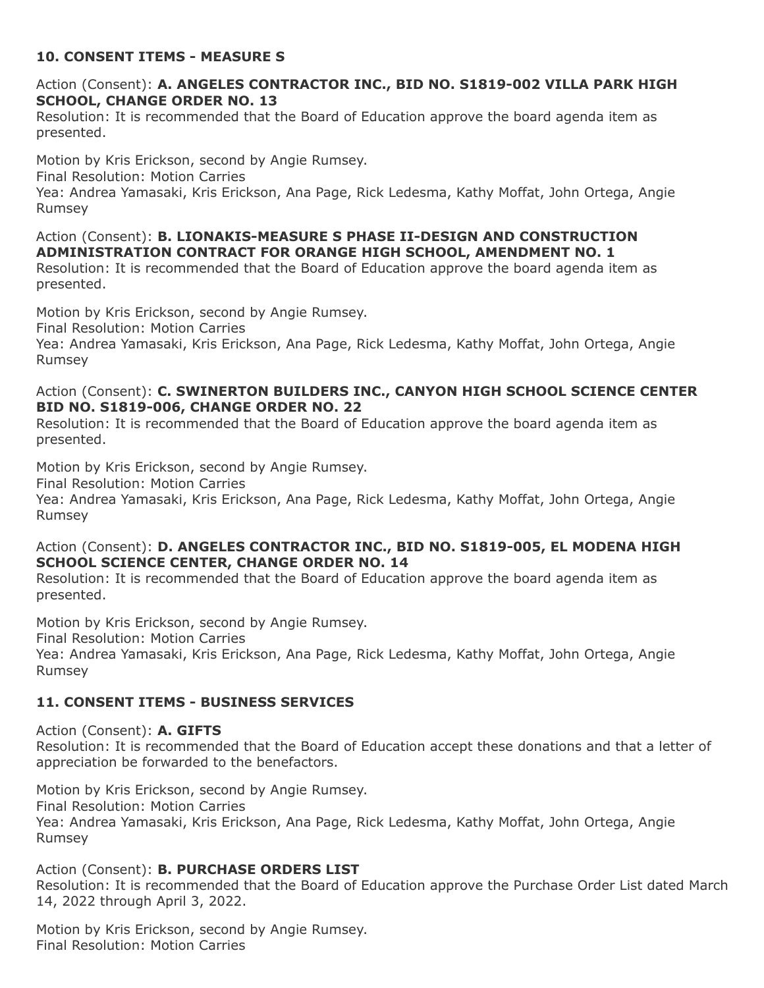## **10. CONSENT ITEMS - MEASURE S**

#### Action (Consent): **A. ANGELES CONTRACTOR INC., BID NO. S1819-002 VILLA PARK HIGH SCHOOL, CHANGE ORDER NO. 13**

Resolution: It is recommended that the Board of Education approve the board agenda item as presented.

Motion by Kris Erickson, second by Angie Rumsey.

Final Resolution: Motion Carries

Yea: Andrea Yamasaki, Kris Erickson, Ana Page, Rick Ledesma, Kathy Moffat, John Ortega, Angie Rumsey

Action (Consent): **B. LIONAKIS-MEASURE S PHASE II-DESIGN AND CONSTRUCTION ADMINISTRATION CONTRACT FOR ORANGE HIGH SCHOOL, AMENDMENT NO. 1**

Resolution: It is recommended that the Board of Education approve the board agenda item as presented.

Motion by Kris Erickson, second by Angie Rumsey.

Final Resolution: Motion Carries

Yea: Andrea Yamasaki, Kris Erickson, Ana Page, Rick Ledesma, Kathy Moffat, John Ortega, Angie Rumsey

#### Action (Consent): **C. SWINERTON BUILDERS INC., CANYON HIGH SCHOOL SCIENCE CENTER BID NO. S1819-006, CHANGE ORDER NO. 22**

Resolution: It is recommended that the Board of Education approve the board agenda item as presented.

Motion by Kris Erickson, second by Angie Rumsey.

Final Resolution: Motion Carries

Yea: Andrea Yamasaki, Kris Erickson, Ana Page, Rick Ledesma, Kathy Moffat, John Ortega, Angie Rumsey

#### Action (Consent): **D. ANGELES CONTRACTOR INC., BID NO. S1819-005, EL MODENA HIGH SCHOOL SCIENCE CENTER, CHANGE ORDER NO. 14**

Resolution: It is recommended that the Board of Education approve the board agenda item as presented.

Motion by Kris Erickson, second by Angie Rumsey.

Final Resolution: Motion Carries

Rumsey

Yea: Andrea Yamasaki, Kris Erickson, Ana Page, Rick Ledesma, Kathy Moffat, John Ortega, Angie Rumsey

## **11. CONSENT ITEMS - BUSINESS SERVICES**

Action (Consent): **A. GIFTS** Resolution: It is recommended that the Board of Education accept these donations and that a letter of appreciation be forwarded to the benefactors.

Motion by Kris Erickson, second by Angie Rumsey. Final Resolution: Motion Carries Yea: Andrea Yamasaki, Kris Erickson, Ana Page, Rick Ledesma, Kathy Moffat, John Ortega, Angie

#### Action (Consent): **B. PURCHASE ORDERS LIST**

Resolution: It is recommended that the Board of Education approve the Purchase Order List dated March 14, 2022 through April 3, 2022.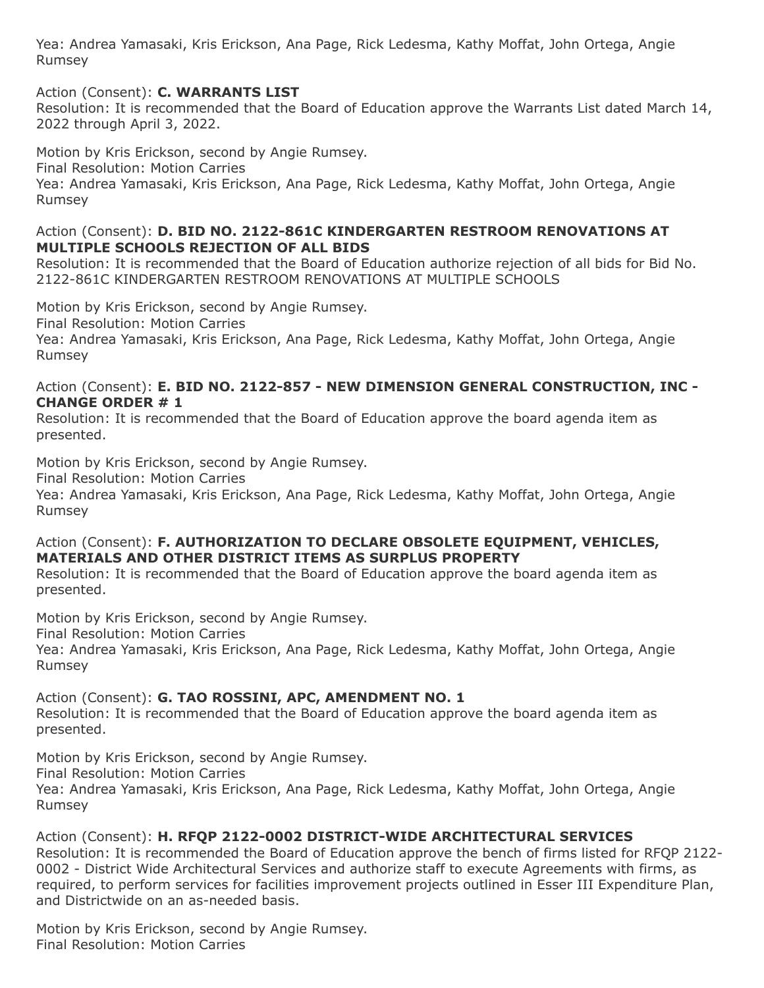## Action (Consent): **C. WARRANTS LIST**

Resolution: It is recommended that the Board of Education approve the Warrants List dated March 14, 2022 through April 3, 2022.

Motion by Kris Erickson, second by Angie Rumsey.

Final Resolution: Motion Carries

Yea: Andrea Yamasaki, Kris Erickson, Ana Page, Rick Ledesma, Kathy Moffat, John Ortega, Angie Rumsey

#### Action (Consent): **D. BID NO. 2122-861C KINDERGARTEN RESTROOM RENOVATIONS AT MULTIPLE SCHOOLS REJECTION OF ALL BIDS**

Resolution: It is recommended that the Board of Education authorize rejection of all bids for Bid No. 2122-861C KINDERGARTEN RESTROOM RENOVATIONS AT MULTIPLE SCHOOLS

Motion by Kris Erickson, second by Angie Rumsey.

Final Resolution: Motion Carries

Yea: Andrea Yamasaki, Kris Erickson, Ana Page, Rick Ledesma, Kathy Moffat, John Ortega, Angie Rumsey

#### Action (Consent): **E. BID NO. 2122-857 - NEW DIMENSION GENERAL CONSTRUCTION, INC - CHANGE ORDER # 1**

Resolution: It is recommended that the Board of Education approve the board agenda item as presented.

Motion by Kris Erickson, second by Angie Rumsey.

Final Resolution: Motion Carries

Yea: Andrea Yamasaki, Kris Erickson, Ana Page, Rick Ledesma, Kathy Moffat, John Ortega, Angie Rumsey

## Action (Consent): **F. AUTHORIZATION TO DECLARE OBSOLETE EQUIPMENT, VEHICLES, MATERIALS AND OTHER DISTRICT ITEMS AS SURPLUS PROPERTY**

Resolution: It is recommended that the Board of Education approve the board agenda item as presented.

Motion by Kris Erickson, second by Angie Rumsey.

Final Resolution: Motion Carries

Yea: Andrea Yamasaki, Kris Erickson, Ana Page, Rick Ledesma, Kathy Moffat, John Ortega, Angie Rumsey

## Action (Consent): **G. TAO ROSSINI, APC, AMENDMENT NO. 1**

Resolution: It is recommended that the Board of Education approve the board agenda item as presented.

Motion by Kris Erickson, second by Angie Rumsey. Final Resolution: Motion Carries Yea: Andrea Yamasaki, Kris Erickson, Ana Page, Rick Ledesma, Kathy Moffat, John Ortega, Angie Rumsey

# Action (Consent): **H. RFQP 2122-0002 DISTRICT-WIDE ARCHITECTURAL SERVICES**

Resolution: It is recommended the Board of Education approve the bench of firms listed for RFQP 2122- 0002 - District Wide Architectural Services and authorize staff to execute Agreements with firms, as required, to perform services for facilities improvement projects outlined in Esser III Expenditure Plan, and Districtwide on an as-needed basis.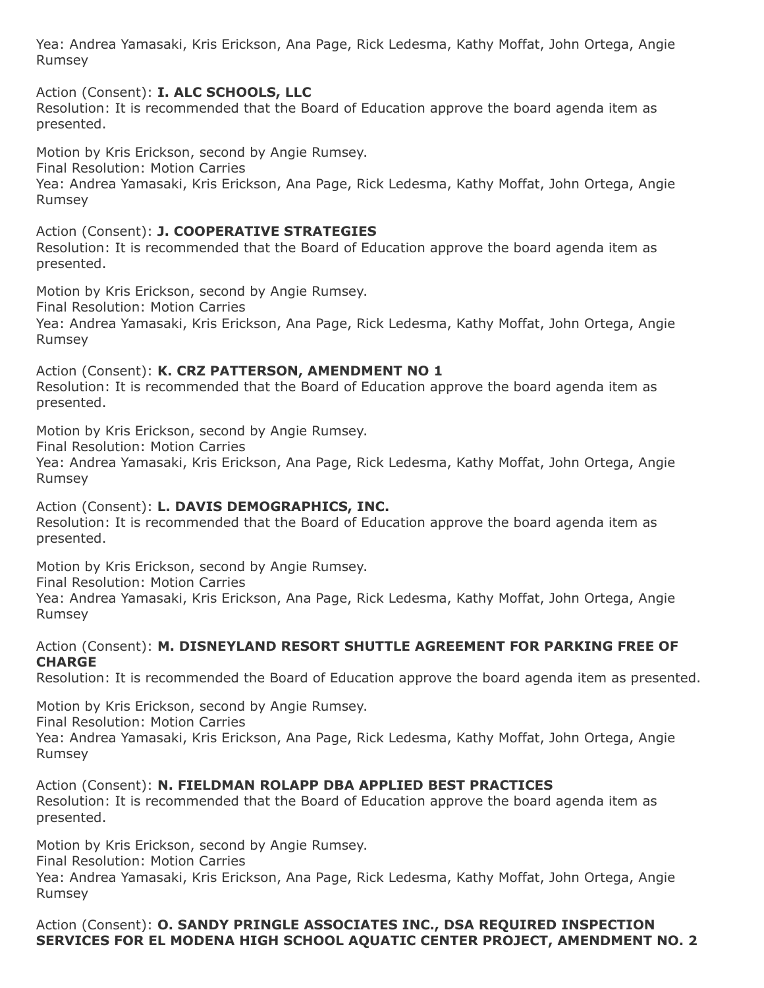Action (Consent): **I. ALC SCHOOLS, LLC**

Resolution: It is recommended that the Board of Education approve the board agenda item as presented.

Motion by Kris Erickson, second by Angie Rumsey.

Final Resolution: Motion Carries

Yea: Andrea Yamasaki, Kris Erickson, Ana Page, Rick Ledesma, Kathy Moffat, John Ortega, Angie Rumsey

Action (Consent): **J. COOPERATIVE STRATEGIES**

Resolution: It is recommended that the Board of Education approve the board agenda item as presented.

Motion by Kris Erickson, second by Angie Rumsey.

Final Resolution: Motion Carries

Yea: Andrea Yamasaki, Kris Erickson, Ana Page, Rick Ledesma, Kathy Moffat, John Ortega, Angie Rumsey

Action (Consent): **K. CRZ PATTERSON, AMENDMENT NO 1**

Resolution: It is recommended that the Board of Education approve the board agenda item as presented.

Motion by Kris Erickson, second by Angie Rumsey.

Final Resolution: Motion Carries

Yea: Andrea Yamasaki, Kris Erickson, Ana Page, Rick Ledesma, Kathy Moffat, John Ortega, Angie Rumsey

Action (Consent): **L. DAVIS DEMOGRAPHICS, INC.** Resolution: It is recommended that the Board of Education approve the board agenda item as presented.

Motion by Kris Erickson, second by Angie Rumsey.

Final Resolution: Motion Carries

Yea: Andrea Yamasaki, Kris Erickson, Ana Page, Rick Ledesma, Kathy Moffat, John Ortega, Angie Rumsey

#### Action (Consent): **M. DISNEYLAND RESORT SHUTTLE AGREEMENT FOR PARKING FREE OF CHARGE**

Resolution: It is recommended the Board of Education approve the board agenda item as presented.

Motion by Kris Erickson, second by Angie Rumsey.

Final Resolution: Motion Carries

Yea: Andrea Yamasaki, Kris Erickson, Ana Page, Rick Ledesma, Kathy Moffat, John Ortega, Angie Rumsey

Action (Consent): **N. FIELDMAN ROLAPP DBA APPLIED BEST PRACTICES**

Resolution: It is recommended that the Board of Education approve the board agenda item as presented.

Motion by Kris Erickson, second by Angie Rumsey.

Final Resolution: Motion Carries

Yea: Andrea Yamasaki, Kris Erickson, Ana Page, Rick Ledesma, Kathy Moffat, John Ortega, Angie Rumsey

Action (Consent): **O. SANDY PRINGLE ASSOCIATES INC., DSA REQUIRED INSPECTION SERVICES FOR EL MODENA HIGH SCHOOL AQUATIC CENTER PROJECT, AMENDMENT NO. 2**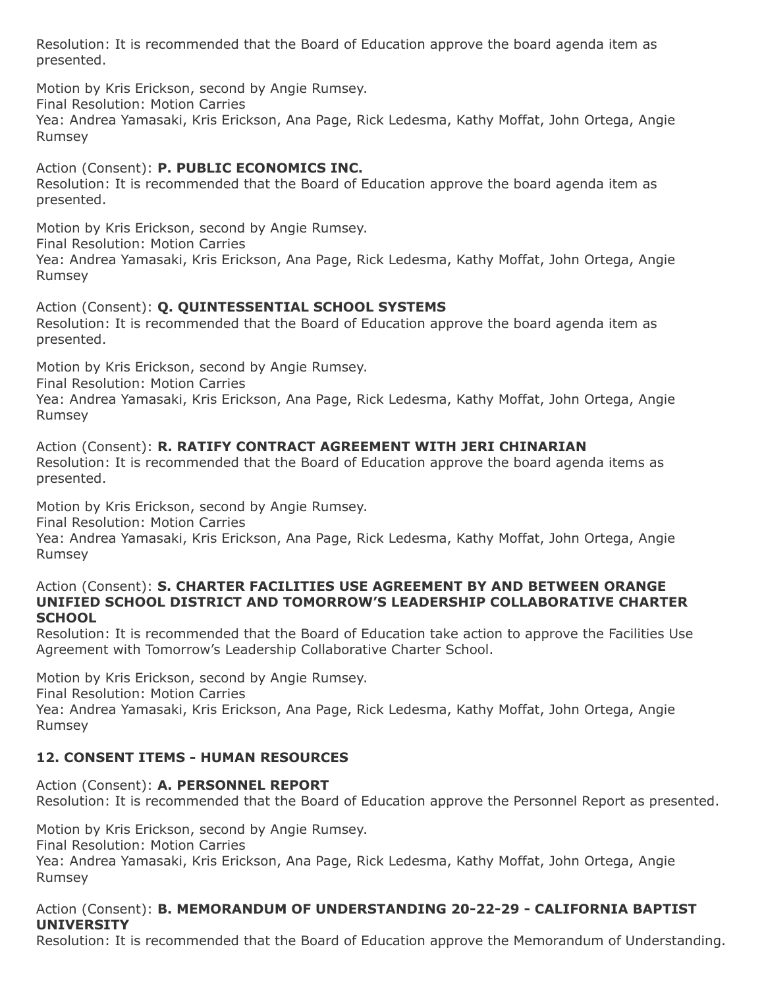Resolution: It is recommended that the Board of Education approve the board agenda item as presented.

Motion by Kris Erickson, second by Angie Rumsey.

Final Resolution: Motion Carries

Yea: Andrea Yamasaki, Kris Erickson, Ana Page, Rick Ledesma, Kathy Moffat, John Ortega, Angie Rumsey

# Action (Consent): **P. PUBLIC ECONOMICS INC.**

Resolution: It is recommended that the Board of Education approve the board agenda item as presented.

Motion by Kris Erickson, second by Angie Rumsey.

Final Resolution: Motion Carries

Yea: Andrea Yamasaki, Kris Erickson, Ana Page, Rick Ledesma, Kathy Moffat, John Ortega, Angie Rumsey

# Action (Consent): **Q. QUINTESSENTIAL SCHOOL SYSTEMS**

Resolution: It is recommended that the Board of Education approve the board agenda item as presented.

Motion by Kris Erickson, second by Angie Rumsey.

Final Resolution: Motion Carries

Yea: Andrea Yamasaki, Kris Erickson, Ana Page, Rick Ledesma, Kathy Moffat, John Ortega, Angie Rumsey

Action (Consent): **R. RATIFY CONTRACT AGREEMENT WITH JERI CHINARIAN** Resolution: It is recommended that the Board of Education approve the board agenda items as presented.

Motion by Kris Erickson, second by Angie Rumsey.

Final Resolution: Motion Carries

Yea: Andrea Yamasaki, Kris Erickson, Ana Page, Rick Ledesma, Kathy Moffat, John Ortega, Angie Rumsey

#### Action (Consent): **S. CHARTER FACILITIES USE AGREEMENT BY AND BETWEEN ORANGE UNIFIED SCHOOL DISTRICT AND TOMORROW'S LEADERSHIP COLLABORATIVE CHARTER SCHOOL**

Resolution: It is recommended that the Board of Education take action to approve the Facilities Use Agreement with Tomorrow's Leadership Collaborative Charter School.

Motion by Kris Erickson, second by Angie Rumsey.

Final Resolution: Motion Carries

Yea: Andrea Yamasaki, Kris Erickson, Ana Page, Rick Ledesma, Kathy Moffat, John Ortega, Angie Rumsey

# **12. CONSENT ITEMS - HUMAN RESOURCES**

Action (Consent): **A. PERSONNEL REPORT** Resolution: It is recommended that the Board of Education approve the Personnel Report as presented.

Motion by Kris Erickson, second by Angie Rumsey.

Final Resolution: Motion Carries

Yea: Andrea Yamasaki, Kris Erickson, Ana Page, Rick Ledesma, Kathy Moffat, John Ortega, Angie Rumsey

## Action (Consent): **B. MEMORANDUM OF UNDERSTANDING 20-22-29 - CALIFORNIA BAPTIST UNIVERSITY**

Resolution: It is recommended that the Board of Education approve the Memorandum of Understanding.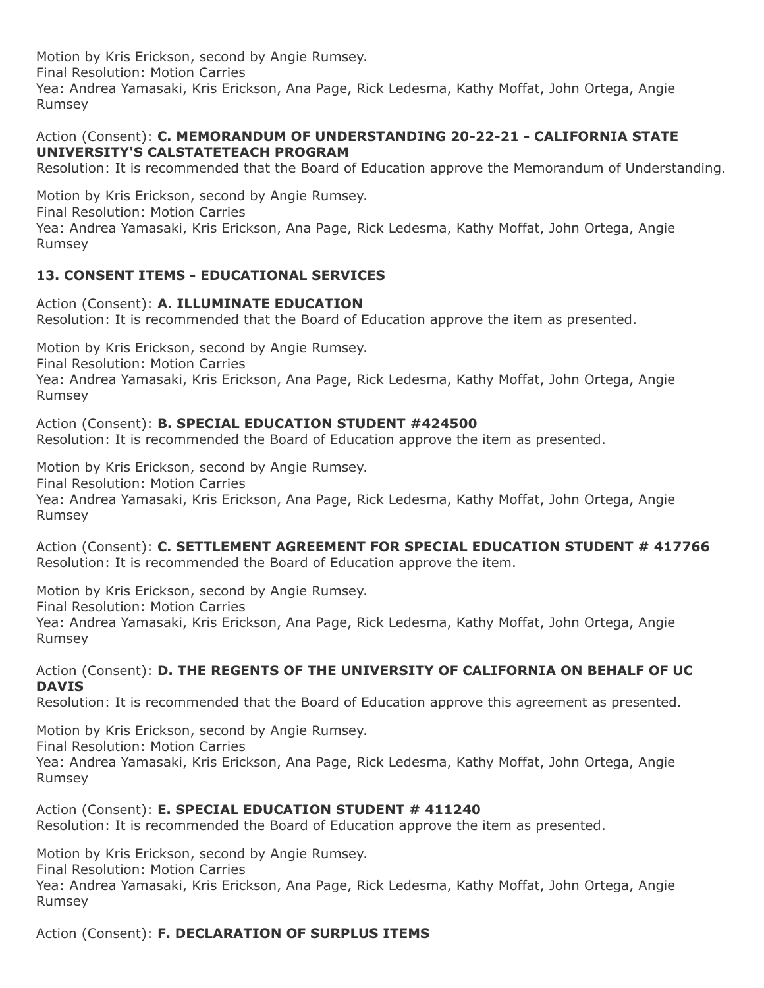## Action (Consent): **C. MEMORANDUM OF UNDERSTANDING 20-22-21 - CALIFORNIA STATE UNIVERSITY'S CALSTATETEACH PROGRAM**

Resolution: It is recommended that the Board of Education approve the Memorandum of Understanding.

Motion by Kris Erickson, second by Angie Rumsey. Final Resolution: Motion Carries Yea: Andrea Yamasaki, Kris Erickson, Ana Page, Rick Ledesma, Kathy Moffat, John Ortega, Angie Rumsey

## **13. CONSENT ITEMS - EDUCATIONAL SERVICES**

Action (Consent): **A. ILLUMINATE EDUCATION** Resolution: It is recommended that the Board of Education approve the item as presented.

Motion by Kris Erickson, second by Angie Rumsey. Final Resolution: Motion Carries Yea: Andrea Yamasaki, Kris Erickson, Ana Page, Rick Ledesma, Kathy Moffat, John Ortega, Angie Rumsey

#### Action (Consent): **B. SPECIAL EDUCATION STUDENT #424500**

Resolution: It is recommended the Board of Education approve the item as presented.

Motion by Kris Erickson, second by Angie Rumsey. Final Resolution: Motion Carries Yea: Andrea Yamasaki, Kris Erickson, Ana Page, Rick Ledesma, Kathy Moffat, John Ortega, Angie Rumsey

Action (Consent): **C. SETTLEMENT AGREEMENT FOR SPECIAL EDUCATION STUDENT # 417766** Resolution: It is recommended the Board of Education approve the item.

Motion by Kris Erickson, second by Angie Rumsey. Final Resolution: Motion Carries Yea: Andrea Yamasaki, Kris Erickson, Ana Page, Rick Ledesma, Kathy Moffat, John Ortega, Angie Rumsey

#### Action (Consent): **D. THE REGENTS OF THE UNIVERSITY OF CALIFORNIA ON BEHALF OF UC DAVIS**

Resolution: It is recommended that the Board of Education approve this agreement as presented.

Motion by Kris Erickson, second by Angie Rumsey.

Final Resolution: Motion Carries

Yea: Andrea Yamasaki, Kris Erickson, Ana Page, Rick Ledesma, Kathy Moffat, John Ortega, Angie Rumsey

## Action (Consent): **E. SPECIAL EDUCATION STUDENT # 411240**

Resolution: It is recommended the Board of Education approve the item as presented.

Motion by Kris Erickson, second by Angie Rumsey.

Final Resolution: Motion Carries

Yea: Andrea Yamasaki, Kris Erickson, Ana Page, Rick Ledesma, Kathy Moffat, John Ortega, Angie Rumsey

Action (Consent): **F. DECLARATION OF SURPLUS ITEMS**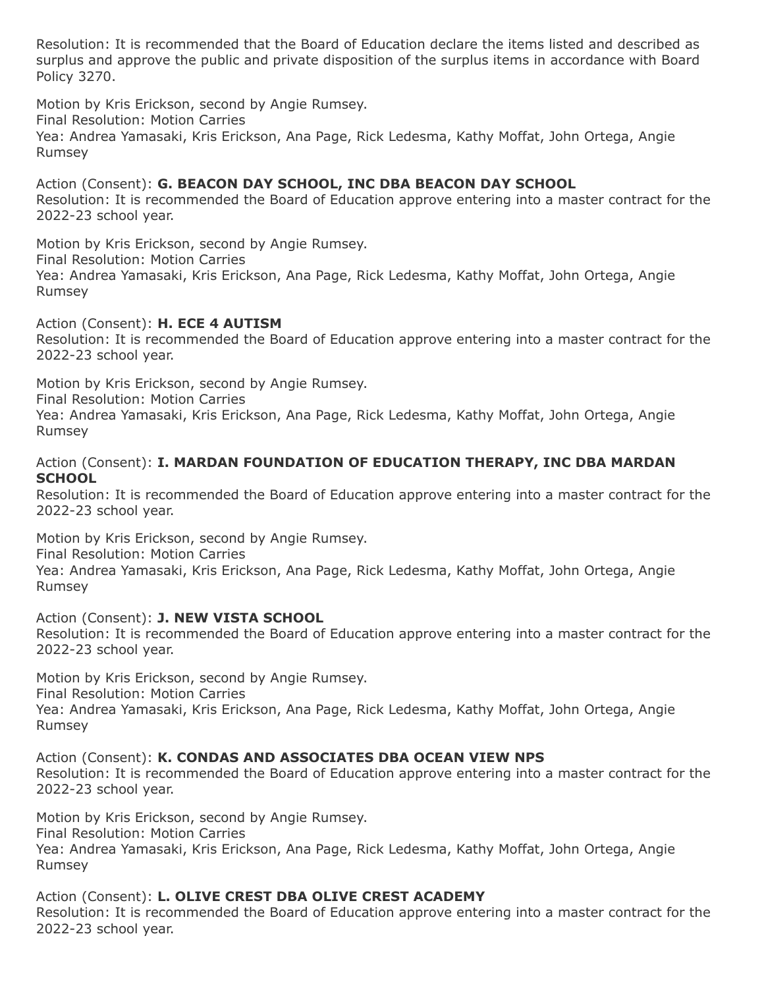Resolution: It is recommended that the Board of Education declare the items listed and described as surplus and approve the public and private disposition of the surplus items in accordance with Board Policy 3270.

Motion by Kris Erickson, second by Angie Rumsey.

Final Resolution: Motion Carries

Yea: Andrea Yamasaki, Kris Erickson, Ana Page, Rick Ledesma, Kathy Moffat, John Ortega, Angie Rumsey

# Action (Consent): **G. BEACON DAY SCHOOL, INC DBA BEACON DAY SCHOOL**

Resolution: It is recommended the Board of Education approve entering into a master contract for the 2022-23 school year.

Motion by Kris Erickson, second by Angie Rumsey. Final Resolution: Motion Carries Yea: Andrea Yamasaki, Kris Erickson, Ana Page, Rick Ledesma, Kathy Moffat, John Ortega, Angie Rumsey

Action (Consent): **H. ECE 4 AUTISM**

Resolution: It is recommended the Board of Education approve entering into a master contract for the 2022-23 school year.

Motion by Kris Erickson, second by Angie Rumsey.

Final Resolution: Motion Carries

Yea: Andrea Yamasaki, Kris Erickson, Ana Page, Rick Ledesma, Kathy Moffat, John Ortega, Angie Rumsey

#### Action (Consent): **I. MARDAN FOUNDATION OF EDUCATION THERAPY, INC DBA MARDAN SCHOOL**

Resolution: It is recommended the Board of Education approve entering into a master contract for the 2022-23 school year.

Motion by Kris Erickson, second by Angie Rumsey.

Final Resolution: Motion Carries

Yea: Andrea Yamasaki, Kris Erickson, Ana Page, Rick Ledesma, Kathy Moffat, John Ortega, Angie Rumsey

#### Action (Consent): **J. NEW VISTA SCHOOL**

Resolution: It is recommended the Board of Education approve entering into a master contract for the 2022-23 school year.

Motion by Kris Erickson, second by Angie Rumsey.

Final Resolution: Motion Carries

Yea: Andrea Yamasaki, Kris Erickson, Ana Page, Rick Ledesma, Kathy Moffat, John Ortega, Angie Rumsey

Action (Consent): **K. CONDAS AND ASSOCIATES DBA OCEAN VIEW NPS**

Resolution: It is recommended the Board of Education approve entering into a master contract for the 2022-23 school year.

Motion by Kris Erickson, second by Angie Rumsey. Final Resolution: Motion Carries Yea: Andrea Yamasaki, Kris Erickson, Ana Page, Rick Ledesma, Kathy Moffat, John Ortega, Angie Rumsey

## Action (Consent): **L. OLIVE CREST DBA OLIVE CREST ACADEMY**

Resolution: It is recommended the Board of Education approve entering into a master contract for the 2022-23 school year.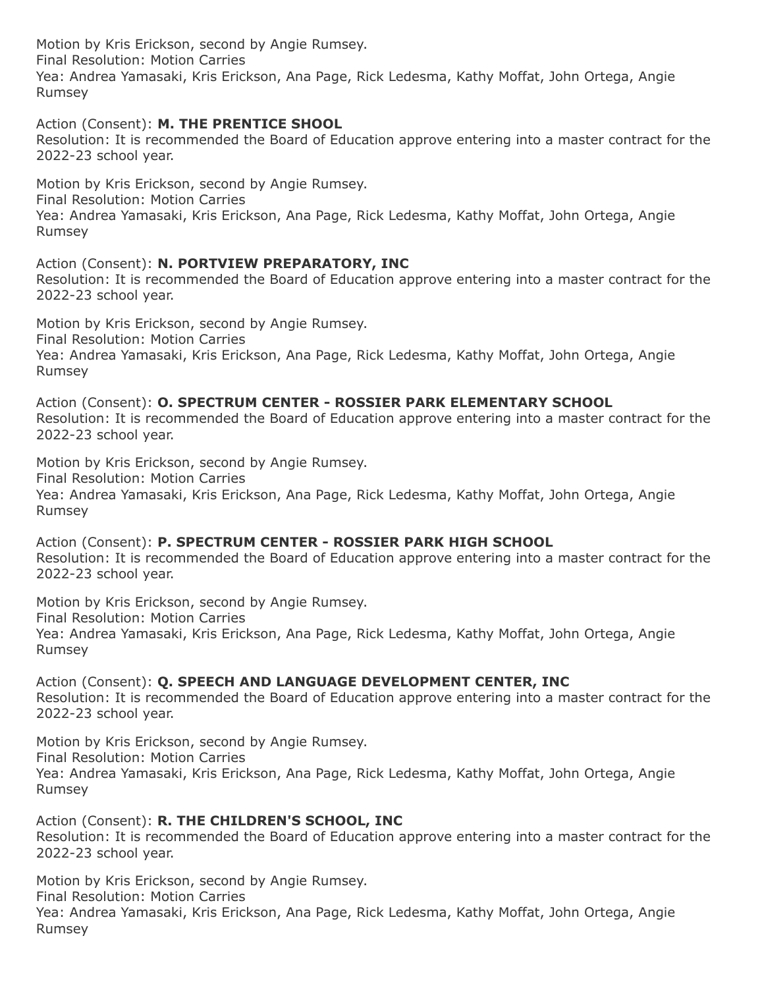Action (Consent): **M. THE PRENTICE SHOOL**

Resolution: It is recommended the Board of Education approve entering into a master contract for the 2022-23 school year.

Motion by Kris Erickson, second by Angie Rumsey. Final Resolution: Motion Carries Yea: Andrea Yamasaki, Kris Erickson, Ana Page, Rick Ledesma, Kathy Moffat, John Ortega, Angie Rumsey

Action (Consent): **N. PORTVIEW PREPARATORY, INC**

Resolution: It is recommended the Board of Education approve entering into a master contract for the 2022-23 school year.

Motion by Kris Erickson, second by Angie Rumsey. Final Resolution: Motion Carries Yea: Andrea Yamasaki, Kris Erickson, Ana Page, Rick Ledesma, Kathy Moffat, John Ortega, Angie Rumsey

Action (Consent): **O. SPECTRUM CENTER - ROSSIER PARK ELEMENTARY SCHOOL** Resolution: It is recommended the Board of Education approve entering into a master contract for the 2022-23 school year.

Motion by Kris Erickson, second by Angie Rumsey. Final Resolution: Motion Carries Yea: Andrea Yamasaki, Kris Erickson, Ana Page, Rick Ledesma, Kathy Moffat, John Ortega, Angie Rumsey

Action (Consent): **P. SPECTRUM CENTER - ROSSIER PARK HIGH SCHOOL** Resolution: It is recommended the Board of Education approve entering into a master contract for the 2022-23 school year.

Motion by Kris Erickson, second by Angie Rumsey. Final Resolution: Motion Carries Yea: Andrea Yamasaki, Kris Erickson, Ana Page, Rick Ledesma, Kathy Moffat, John Ortega, Angie Rumsey

Action (Consent): **Q. SPEECH AND LANGUAGE DEVELOPMENT CENTER, INC** Resolution: It is recommended the Board of Education approve entering into a master contract for the 2022-23 school year.

Motion by Kris Erickson, second by Angie Rumsey. Final Resolution: Motion Carries Yea: Andrea Yamasaki, Kris Erickson, Ana Page, Rick Ledesma, Kathy Moffat, John Ortega, Angie Rumsey

Action (Consent): **R. THE CHILDREN'S SCHOOL, INC** Resolution: It is recommended the Board of Education approve entering into a master contract for the 2022-23 school year.

Motion by Kris Erickson, second by Angie Rumsey. Final Resolution: Motion Carries Yea: Andrea Yamasaki, Kris Erickson, Ana Page, Rick Ledesma, Kathy Moffat, John Ortega, Angie Rumsey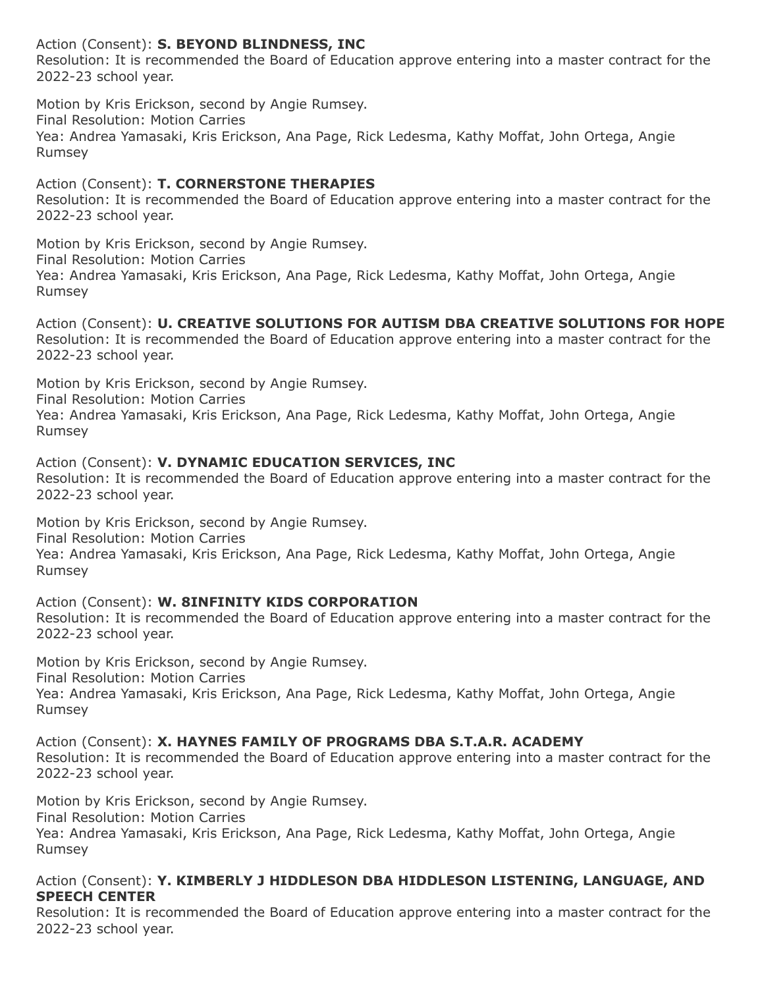## Action (Consent): **S. BEYOND BLINDNESS, INC**

Resolution: It is recommended the Board of Education approve entering into a master contract for the 2022-23 school year.

Motion by Kris Erickson, second by Angie Rumsey. Final Resolution: Motion Carries

Yea: Andrea Yamasaki, Kris Erickson, Ana Page, Rick Ledesma, Kathy Moffat, John Ortega, Angie Rumsey

## Action (Consent): **T. CORNERSTONE THERAPIES**

Resolution: It is recommended the Board of Education approve entering into a master contract for the 2022-23 school year.

Motion by Kris Erickson, second by Angie Rumsey. Final Resolution: Motion Carries Yea: Andrea Yamasaki, Kris Erickson, Ana Page, Rick Ledesma, Kathy Moffat, John Ortega, Angie Rumsey

Action (Consent): **U. CREATIVE SOLUTIONS FOR AUTISM DBA CREATIVE SOLUTIONS FOR HOPE** Resolution: It is recommended the Board of Education approve entering into a master contract for the 2022-23 school year.

Motion by Kris Erickson, second by Angie Rumsey. Final Resolution: Motion Carries Yea: Andrea Yamasaki, Kris Erickson, Ana Page, Rick Ledesma, Kathy Moffat, John Ortega, Angie Rumsey

## Action (Consent): **V. DYNAMIC EDUCATION SERVICES, INC**

Resolution: It is recommended the Board of Education approve entering into a master contract for the 2022-23 school year.

Motion by Kris Erickson, second by Angie Rumsey. Final Resolution: Motion Carries Yea: Andrea Yamasaki, Kris Erickson, Ana Page, Rick Ledesma, Kathy Moffat, John Ortega, Angie Rumsey

## Action (Consent): **W. 8INFINITY KIDS CORPORATION**

Resolution: It is recommended the Board of Education approve entering into a master contract for the 2022-23 school year.

Motion by Kris Erickson, second by Angie Rumsey.

Final Resolution: Motion Carries

Yea: Andrea Yamasaki, Kris Erickson, Ana Page, Rick Ledesma, Kathy Moffat, John Ortega, Angie Rumsey

Action (Consent): **X. HAYNES FAMILY OF PROGRAMS DBA S.T.A.R. ACADEMY**

Resolution: It is recommended the Board of Education approve entering into a master contract for the 2022-23 school year.

Motion by Kris Erickson, second by Angie Rumsey.

Final Resolution: Motion Carries

Yea: Andrea Yamasaki, Kris Erickson, Ana Page, Rick Ledesma, Kathy Moffat, John Ortega, Angie Rumsey

## Action (Consent): **Y. KIMBERLY J HIDDLESON DBA HIDDLESON LISTENING, LANGUAGE, AND SPEECH CENTER**

Resolution: It is recommended the Board of Education approve entering into a master contract for the 2022-23 school year.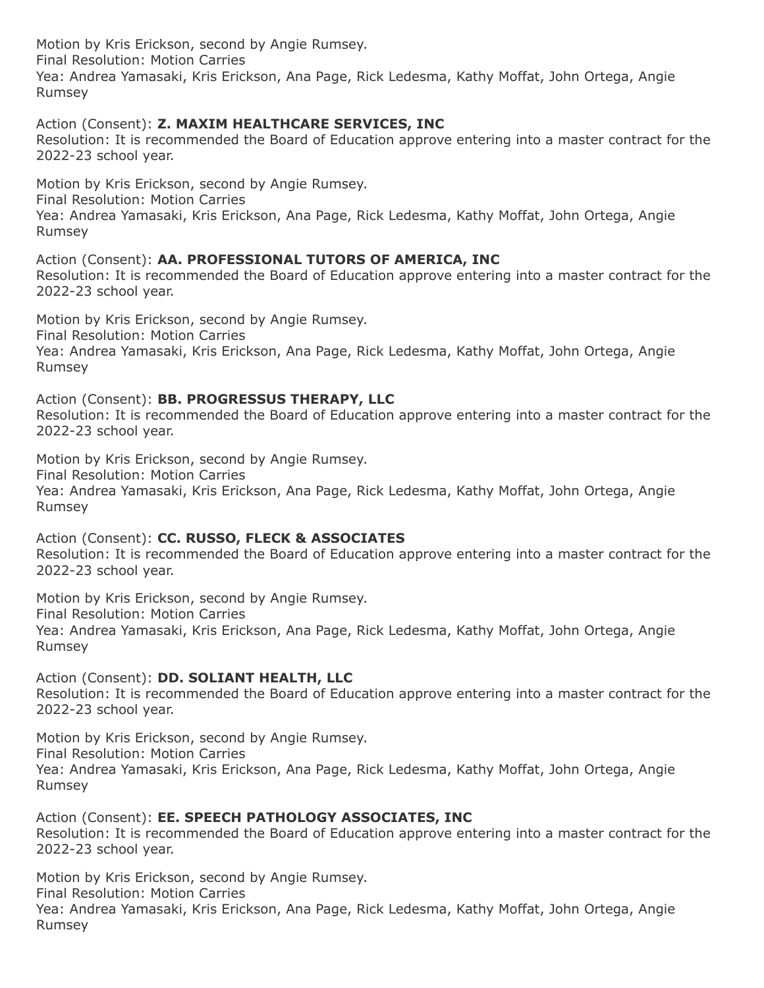#### Action (Consent): **Z. MAXIM HEALTHCARE SERVICES, INC**

Resolution: It is recommended the Board of Education approve entering into a master contract for the 2022-23 school year.

Motion by Kris Erickson, second by Angie Rumsey. Final Resolution: Motion Carries Yea: Andrea Yamasaki, Kris Erickson, Ana Page, Rick Ledesma, Kathy Moffat, John Ortega, Angie Rumsey

Action (Consent): **AA. PROFESSIONAL TUTORS OF AMERICA, INC**

Resolution: It is recommended the Board of Education approve entering into a master contract for the 2022-23 school year.

Motion by Kris Erickson, second by Angie Rumsey. Final Resolution: Motion Carries Yea: Andrea Yamasaki, Kris Erickson, Ana Page, Rick Ledesma, Kathy Moffat, John Ortega, Angie Rumsey

Action (Consent): **BB. PROGRESSUS THERAPY, LLC**

Resolution: It is recommended the Board of Education approve entering into a master contract for the 2022-23 school year.

Motion by Kris Erickson, second by Angie Rumsey.

Final Resolution: Motion Carries

Yea: Andrea Yamasaki, Kris Erickson, Ana Page, Rick Ledesma, Kathy Moffat, John Ortega, Angie Rumsey

Action (Consent): **CC. RUSSO, FLECK & ASSOCIATES**

Resolution: It is recommended the Board of Education approve entering into a master contract for the 2022-23 school year.

Motion by Kris Erickson, second by Angie Rumsey.

Final Resolution: Motion Carries

Yea: Andrea Yamasaki, Kris Erickson, Ana Page, Rick Ledesma, Kathy Moffat, John Ortega, Angie Rumsey

Action (Consent): **DD. SOLIANT HEALTH, LLC**

Resolution: It is recommended the Board of Education approve entering into a master contract for the 2022-23 school year.

Motion by Kris Erickson, second by Angie Rumsey. Final Resolution: Motion Carries Yea: Andrea Yamasaki, Kris Erickson, Ana Page, Rick Ledesma, Kathy Moffat, John Ortega, Angie Rumsey

Action (Consent): **EE. SPEECH PATHOLOGY ASSOCIATES, INC**

Resolution: It is recommended the Board of Education approve entering into a master contract for the 2022-23 school year.

Motion by Kris Erickson, second by Angie Rumsey. Final Resolution: Motion Carries Yea: Andrea Yamasaki, Kris Erickson, Ana Page, Rick Ledesma, Kathy Moffat, John Ortega, Angie Rumsey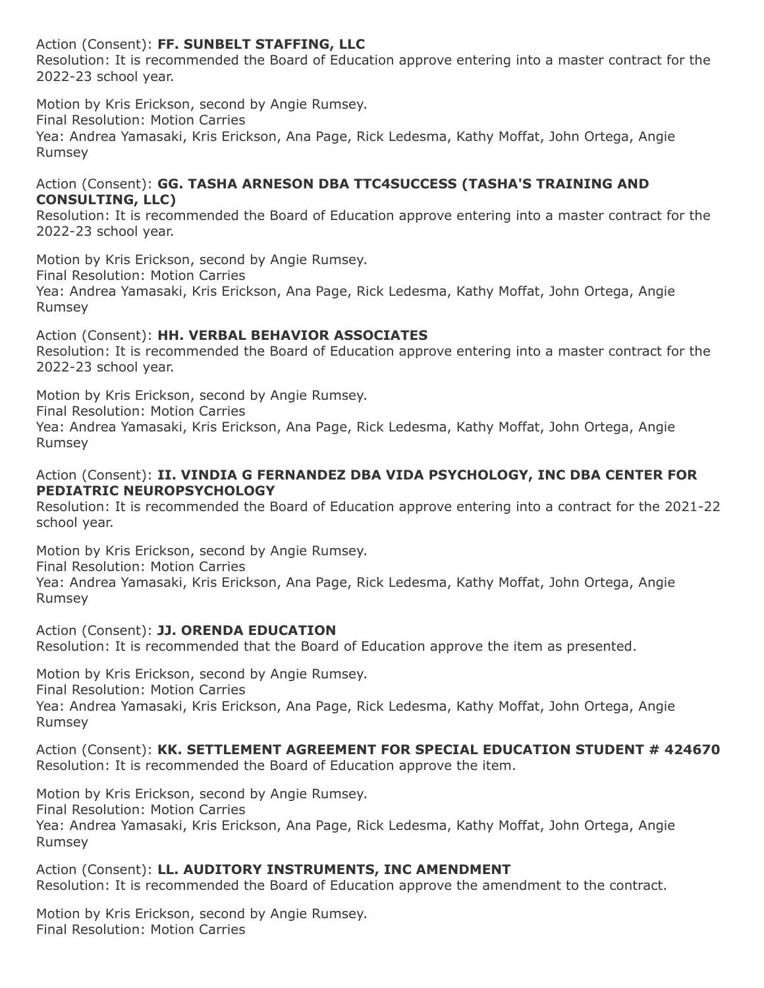## Action (Consent): **FF. SUNBELT STAFFING, LLC**

Resolution: It is recommended the Board of Education approve entering into a master contract for the 2022-23 school year.

Motion by Kris Erickson, second by Angie Rumsey.

Final Resolution: Motion Carries

Yea: Andrea Yamasaki, Kris Erickson, Ana Page, Rick Ledesma, Kathy Moffat, John Ortega, Angie Rumsey

#### Action (Consent): **GG. TASHA ARNESON DBA TTC4SUCCESS (TASHA'S TRAINING AND CONSULTING, LLC)**

Resolution: It is recommended the Board of Education approve entering into a master contract for the 2022-23 school year.

Motion by Kris Erickson, second by Angie Rumsey. Final Resolution: Motion Carries Yea: Andrea Yamasaki, Kris Erickson, Ana Page, Rick Ledesma, Kathy Moffat, John Ortega, Angie Rumsey

## Action (Consent): **HH. VERBAL BEHAVIOR ASSOCIATES**

Resolution: It is recommended the Board of Education approve entering into a master contract for the 2022-23 school year.

Motion by Kris Erickson, second by Angie Rumsey.

Final Resolution: Motion Carries

Yea: Andrea Yamasaki, Kris Erickson, Ana Page, Rick Ledesma, Kathy Moffat, John Ortega, Angie Rumsey

## Action (Consent): **II. VINDIA G FERNANDEZ DBA VIDA PSYCHOLOGY, INC DBA CENTER FOR PEDIATRIC NEUROPSYCHOLOGY**

Resolution: It is recommended the Board of Education approve entering into a contract for the 2021-22 school year.

Motion by Kris Erickson, second by Angie Rumsey. Final Resolution: Motion Carries Yea: Andrea Yamasaki, Kris Erickson, Ana Page, Rick Ledesma, Kathy Moffat, John Ortega, Angie Rumsey

Action (Consent): **JJ. ORENDA EDUCATION** Resolution: It is recommended that the Board of Education approve the item as presented.

Motion by Kris Erickson, second by Angie Rumsey. Final Resolution: Motion Carries Yea: Andrea Yamasaki, Kris Erickson, Ana Page, Rick Ledesma, Kathy Moffat, John Ortega, Angie Rumsey

Action (Consent): **KK. SETTLEMENT AGREEMENT FOR SPECIAL EDUCATION STUDENT # 424670** Resolution: It is recommended the Board of Education approve the item.

Motion by Kris Erickson, second by Angie Rumsey. Final Resolution: Motion Carries Yea: Andrea Yamasaki, Kris Erickson, Ana Page, Rick Ledesma, Kathy Moffat, John Ortega, Angie Rumsey

Action (Consent): **LL. AUDITORY INSTRUMENTS, INC AMENDMENT** Resolution: It is recommended the Board of Education approve the amendment to the contract.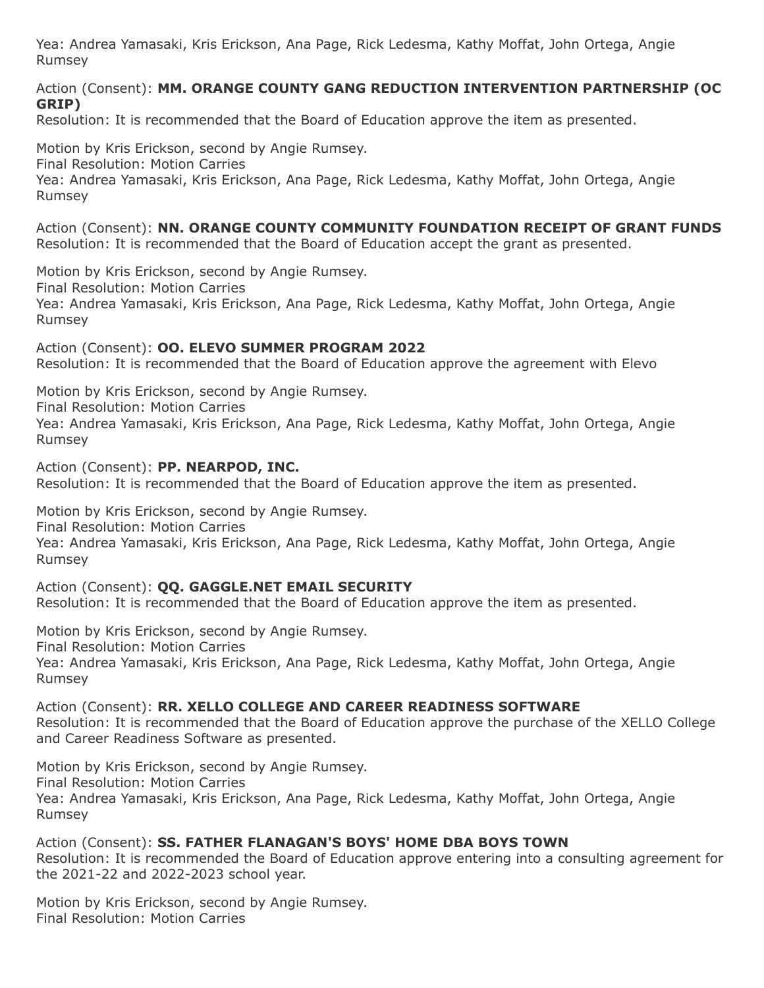#### Action (Consent): **MM. ORANGE COUNTY GANG REDUCTION INTERVENTION PARTNERSHIP (OC GRIP)**

Resolution: It is recommended that the Board of Education approve the item as presented.

Motion by Kris Erickson, second by Angie Rumsey.

Final Resolution: Motion Carries

Yea: Andrea Yamasaki, Kris Erickson, Ana Page, Rick Ledesma, Kathy Moffat, John Ortega, Angie Rumsey

Action (Consent): **NN. ORANGE COUNTY COMMUNITY FOUNDATION RECEIPT OF GRANT FUNDS** Resolution: It is recommended that the Board of Education accept the grant as presented.

Motion by Kris Erickson, second by Angie Rumsey.

Final Resolution: Motion Carries

Yea: Andrea Yamasaki, Kris Erickson, Ana Page, Rick Ledesma, Kathy Moffat, John Ortega, Angie Rumsey

#### Action (Consent): **OO. ELEVO SUMMER PROGRAM 2022**

Resolution: It is recommended that the Board of Education approve the agreement with Elevo

Motion by Kris Erickson, second by Angie Rumsey.

Final Resolution: Motion Carries

Yea: Andrea Yamasaki, Kris Erickson, Ana Page, Rick Ledesma, Kathy Moffat, John Ortega, Angie Rumsey

Action (Consent): **PP. NEARPOD, INC.** Resolution: It is recommended that the Board of Education approve the item as presented.

Motion by Kris Erickson, second by Angie Rumsey.

Final Resolution: Motion Carries

Yea: Andrea Yamasaki, Kris Erickson, Ana Page, Rick Ledesma, Kathy Moffat, John Ortega, Angie Rumsey

#### Action (Consent): **QQ. GAGGLE.NET EMAIL SECURITY**

Resolution: It is recommended that the Board of Education approve the item as presented.

Motion by Kris Erickson, second by Angie Rumsey. Final Resolution: Motion Carries Yea: Andrea Yamasaki, Kris Erickson, Ana Page, Rick Ledesma, Kathy Moffat, John Ortega, Angie Rumsey

Action (Consent): **RR. XELLO COLLEGE AND CAREER READINESS SOFTWARE** Resolution: It is recommended that the Board of Education approve the purchase of the XELLO College and Career Readiness Software as presented.

Motion by Kris Erickson, second by Angie Rumsey.

Final Resolution: Motion Carries

Yea: Andrea Yamasaki, Kris Erickson, Ana Page, Rick Ledesma, Kathy Moffat, John Ortega, Angie Rumsey

## Action (Consent): **SS. FATHER FLANAGAN'S BOYS' HOME DBA BOYS TOWN**

Resolution: It is recommended the Board of Education approve entering into a consulting agreement for the 2021-22 and 2022-2023 school year.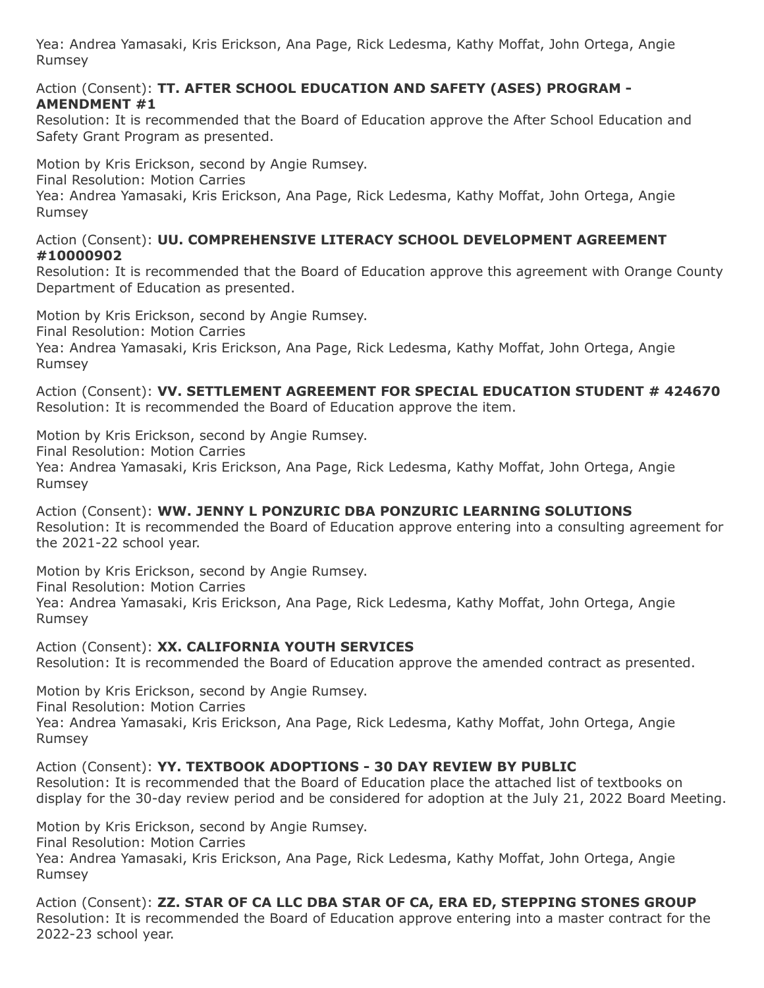#### Action (Consent): **TT. AFTER SCHOOL EDUCATION AND SAFETY (ASES) PROGRAM - AMENDMENT #1**

Resolution: It is recommended that the Board of Education approve the After School Education and Safety Grant Program as presented.

Motion by Kris Erickson, second by Angie Rumsey.

Final Resolution: Motion Carries

Yea: Andrea Yamasaki, Kris Erickson, Ana Page, Rick Ledesma, Kathy Moffat, John Ortega, Angie Rumsey

#### Action (Consent): **UU. COMPREHENSIVE LITERACY SCHOOL DEVELOPMENT AGREEMENT #10000902**

Resolution: It is recommended that the Board of Education approve this agreement with Orange County Department of Education as presented.

Motion by Kris Erickson, second by Angie Rumsey.

Final Resolution: Motion Carries

Yea: Andrea Yamasaki, Kris Erickson, Ana Page, Rick Ledesma, Kathy Moffat, John Ortega, Angie Rumsey

Action (Consent): **VV. SETTLEMENT AGREEMENT FOR SPECIAL EDUCATION STUDENT # 424670** Resolution: It is recommended the Board of Education approve the item.

Motion by Kris Erickson, second by Angie Rumsey. Final Resolution: Motion Carries

Yea: Andrea Yamasaki, Kris Erickson, Ana Page, Rick Ledesma, Kathy Moffat, John Ortega, Angie Rumsey

Action (Consent): **WW. JENNY L PONZURIC DBA PONZURIC LEARNING SOLUTIONS** Resolution: It is recommended the Board of Education approve entering into a consulting agreement for the 2021-22 school year.

Motion by Kris Erickson, second by Angie Rumsey. Final Resolution: Motion Carries Yea: Andrea Yamasaki, Kris Erickson, Ana Page, Rick Ledesma, Kathy Moffat, John Ortega, Angie Rumsey

Action (Consent): **XX. CALIFORNIA YOUTH SERVICES** Resolution: It is recommended the Board of Education approve the amended contract as presented.

Motion by Kris Erickson, second by Angie Rumsey. Final Resolution: Motion Carries Yea: Andrea Yamasaki, Kris Erickson, Ana Page, Rick Ledesma, Kathy Moffat, John Ortega, Angie Rumsey

Action (Consent): **YY. TEXTBOOK ADOPTIONS - 30 DAY REVIEW BY PUBLIC** Resolution: It is recommended that the Board of Education place the attached list of textbooks on

display for the 30-day review period and be considered for adoption at the July 21, 2022 Board Meeting.

Motion by Kris Erickson, second by Angie Rumsey.

Final Resolution: Motion Carries

Yea: Andrea Yamasaki, Kris Erickson, Ana Page, Rick Ledesma, Kathy Moffat, John Ortega, Angie Rumsey

Action (Consent): **ZZ. STAR OF CA LLC DBA STAR OF CA, ERA ED, STEPPING STONES GROUP** Resolution: It is recommended the Board of Education approve entering into a master contract for the 2022-23 school year.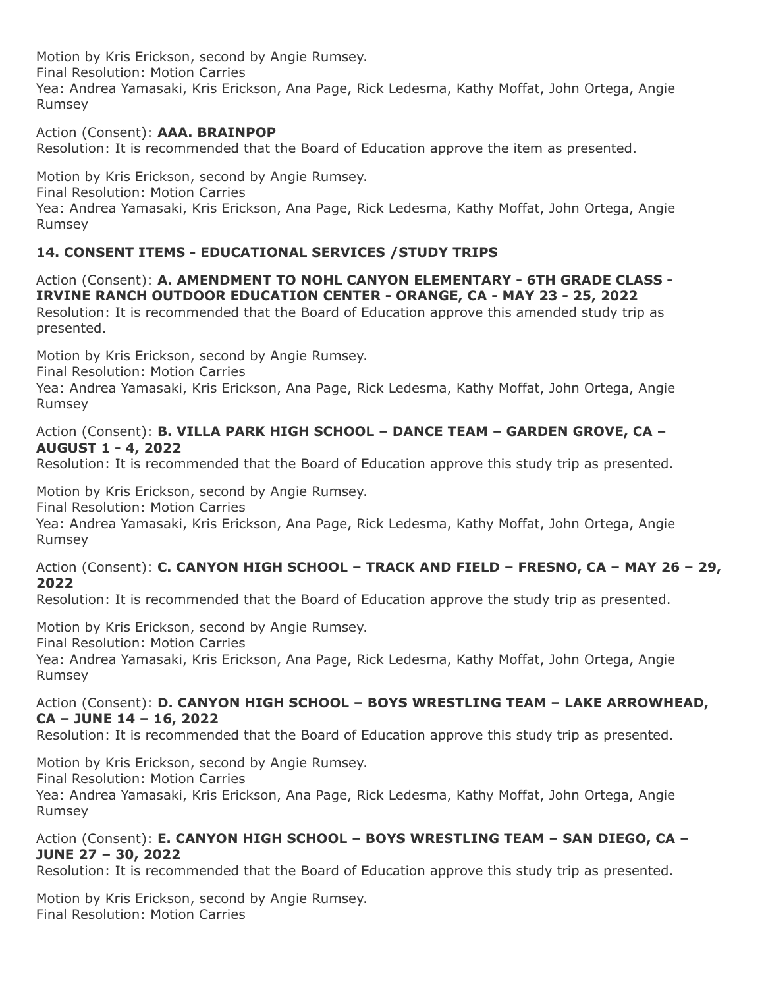#### Action (Consent): **AAA. BRAINPOP**

Resolution: It is recommended that the Board of Education approve the item as presented.

Motion by Kris Erickson, second by Angie Rumsey.

Final Resolution: Motion Carries

Yea: Andrea Yamasaki, Kris Erickson, Ana Page, Rick Ledesma, Kathy Moffat, John Ortega, Angie Rumsey

## **14. CONSENT ITEMS - EDUCATIONAL SERVICES /STUDY TRIPS**

Action (Consent): **A. AMENDMENT TO NOHL CANYON ELEMENTARY - 6TH GRADE CLASS - IRVINE RANCH OUTDOOR EDUCATION CENTER - ORANGE, CA - MAY 23 - 25, 2022** Resolution: It is recommended that the Board of Education approve this amended study trip as presented.

Motion by Kris Erickson, second by Angie Rumsey.

Final Resolution: Motion Carries

Yea: Andrea Yamasaki, Kris Erickson, Ana Page, Rick Ledesma, Kathy Moffat, John Ortega, Angie Rumsey

#### Action (Consent): **B. VILLA PARK HIGH SCHOOL – DANCE TEAM – GARDEN GROVE, CA – AUGUST 1 - 4, 2022**

Resolution: It is recommended that the Board of Education approve this study trip as presented.

Motion by Kris Erickson, second by Angie Rumsey.

Final Resolution: Motion Carries

Yea: Andrea Yamasaki, Kris Erickson, Ana Page, Rick Ledesma, Kathy Moffat, John Ortega, Angie Rumsey

## Action (Consent): **C. CANYON HIGH SCHOOL – TRACK AND FIELD – FRESNO, CA – MAY 26 – 29, 2022**

Resolution: It is recommended that the Board of Education approve the study trip as presented.

Motion by Kris Erickson, second by Angie Rumsey.

Final Resolution: Motion Carries

Yea: Andrea Yamasaki, Kris Erickson, Ana Page, Rick Ledesma, Kathy Moffat, John Ortega, Angie Rumsey

#### Action (Consent): **D. CANYON HIGH SCHOOL – BOYS WRESTLING TEAM – LAKE ARROWHEAD, CA – JUNE 14 – 16, 2022**

Resolution: It is recommended that the Board of Education approve this study trip as presented.

Motion by Kris Erickson, second by Angie Rumsey.

Final Resolution: Motion Carries

Yea: Andrea Yamasaki, Kris Erickson, Ana Page, Rick Ledesma, Kathy Moffat, John Ortega, Angie Rumsey

## Action (Consent): **E. CANYON HIGH SCHOOL – BOYS WRESTLING TEAM – SAN DIEGO, CA – JUNE 27 – 30, 2022**

Resolution: It is recommended that the Board of Education approve this study trip as presented.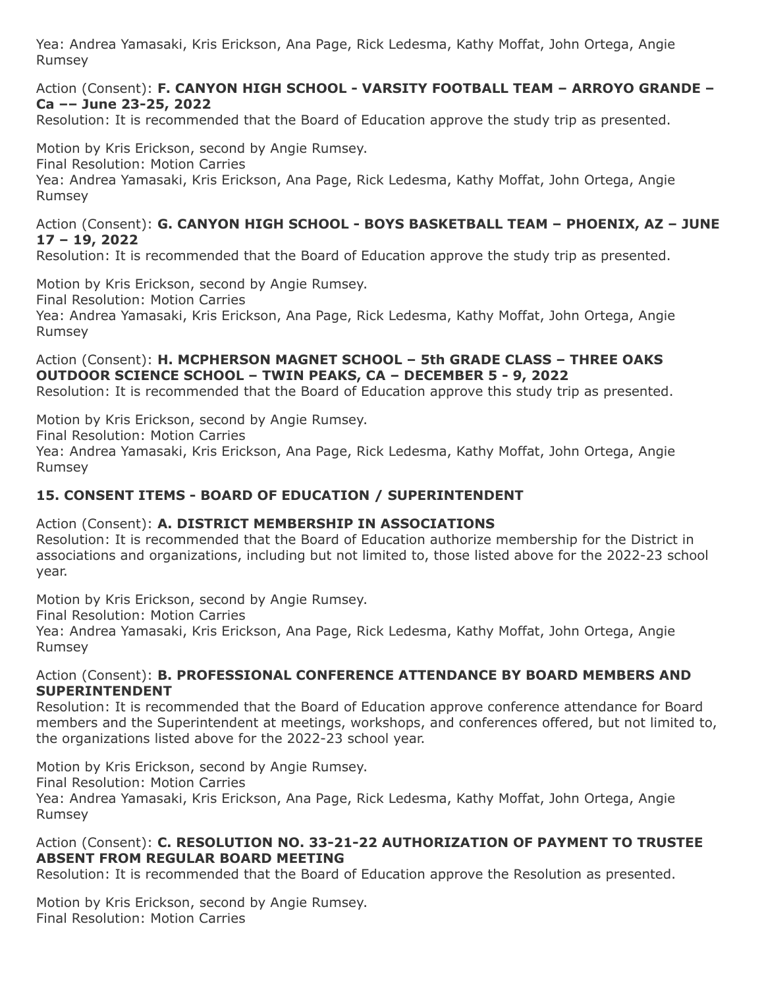#### Action (Consent): **F. CANYON HIGH SCHOOL - VARSITY FOOTBALL TEAM – ARROYO GRANDE – Ca –– June 23-25, 2022**

Resolution: It is recommended that the Board of Education approve the study trip as presented.

Motion by Kris Erickson, second by Angie Rumsey.

Final Resolution: Motion Carries

Yea: Andrea Yamasaki, Kris Erickson, Ana Page, Rick Ledesma, Kathy Moffat, John Ortega, Angie Rumsey

#### Action (Consent): **G. CANYON HIGH SCHOOL - BOYS BASKETBALL TEAM – PHOENIX, AZ – JUNE 17 – 19, 2022**

Resolution: It is recommended that the Board of Education approve the study trip as presented.

Motion by Kris Erickson, second by Angie Rumsey.

Final Resolution: Motion Carries

Yea: Andrea Yamasaki, Kris Erickson, Ana Page, Rick Ledesma, Kathy Moffat, John Ortega, Angie Rumsey

## Action (Consent): **H. MCPHERSON MAGNET SCHOOL – 5th GRADE CLASS – THREE OAKS OUTDOOR SCIENCE SCHOOL – TWIN PEAKS, CA – DECEMBER 5 - 9, 2022**

Resolution: It is recommended that the Board of Education approve this study trip as presented.

Motion by Kris Erickson, second by Angie Rumsey.

Final Resolution: Motion Carries

Yea: Andrea Yamasaki, Kris Erickson, Ana Page, Rick Ledesma, Kathy Moffat, John Ortega, Angie Rumsey

## **15. CONSENT ITEMS - BOARD OF EDUCATION / SUPERINTENDENT**

Action (Consent): **A. DISTRICT MEMBERSHIP IN ASSOCIATIONS** Resolution: It is recommended that the Board of Education authorize membership for the District in associations and organizations, including but not limited to, those listed above for the 2022-23 school year.

Motion by Kris Erickson, second by Angie Rumsey.

Final Resolution: Motion Carries

Yea: Andrea Yamasaki, Kris Erickson, Ana Page, Rick Ledesma, Kathy Moffat, John Ortega, Angie Rumsey

#### Action (Consent): **B. PROFESSIONAL CONFERENCE ATTENDANCE BY BOARD MEMBERS AND SUPERINTENDENT**

Resolution: It is recommended that the Board of Education approve conference attendance for Board members and the Superintendent at meetings, workshops, and conferences offered, but not limited to, the organizations listed above for the 2022-23 school year.

Motion by Kris Erickson, second by Angie Rumsey.

Final Resolution: Motion Carries

Yea: Andrea Yamasaki, Kris Erickson, Ana Page, Rick Ledesma, Kathy Moffat, John Ortega, Angie Rumsey

## Action (Consent): **C. RESOLUTION NO. 33-21-22 AUTHORIZATION OF PAYMENT TO TRUSTEE ABSENT FROM REGULAR BOARD MEETING**

Resolution: It is recommended that the Board of Education approve the Resolution as presented.